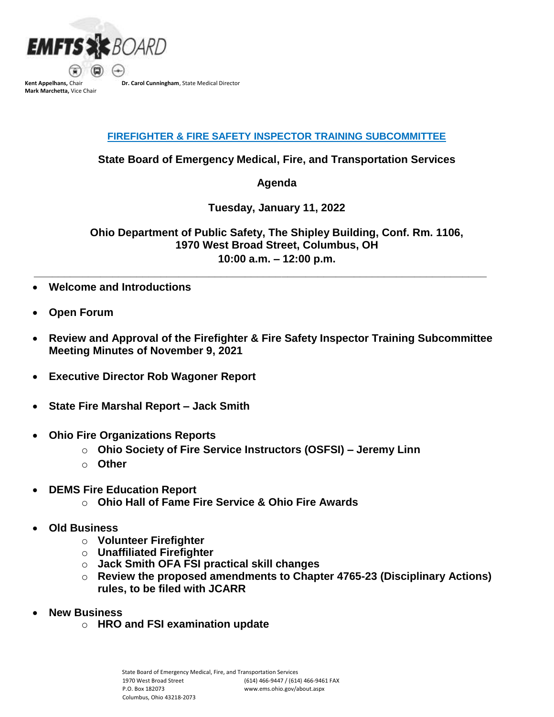

**Mark Marchetta,** Vice Chair

**Dr. Carol Cunningham**, State Medical Director

## **FIREFIGHTER & FIRE SAFETY INSPECTOR TRAINING SUBCOMMITTEE**

**State Board of Emergency Medical, Fire, and Transportation Services**

**Agenda** 

**Tuesday, January 11, 2022**

**Ohio Department of Public Safety, The Shipley Building, Conf. Rm. 1106, 1970 West Broad Street, Columbus, OH 10:00 a.m. – 12:00 p.m.**

- **Welcome and Introductions**
- **Open Forum**
- **Review and Approval of the Firefighter & Fire Safety Inspector Training Subcommittee Meeting Minutes of November 9, 2021**

**\_\_\_\_\_\_\_\_\_\_\_\_\_\_\_\_\_\_\_\_\_\_\_\_\_\_\_\_\_\_\_\_\_\_\_\_\_\_\_\_\_\_\_\_\_\_\_\_\_\_\_\_\_\_\_\_\_\_\_\_\_\_\_\_\_\_\_\_\_\_\_\_\_\_\_**

- **Executive Director Rob Wagoner Report**
- **State Fire Marshal Report – Jack Smith**
- **Ohio Fire Organizations Reports**
	- o **Ohio Society of Fire Service Instructors (OSFSI) – Jeremy Linn**
	- o **Other**
- **DEMS Fire Education Report** 
	- o **Ohio Hall of Fame Fire Service & Ohio Fire Awards**
- **Old Business**
	- o **Volunteer Firefighter**
	- o **Unaffiliated Firefighter**
	- o **Jack Smith OFA FSI practical skill changes**
	- o **Review the proposed amendments to Chapter 4765-23 (Disciplinary Actions) rules, to be filed with JCARR**
- **New Business**
	- o **HRO and FSI examination update**

State Board of Emergency Medical, Fire, and Transportation Services 1970 West Broad Street P.O. Box 182073 Columbus, Ohio 43218-2073 (614) 466-9447 / (614) 466-9461 FAX www.ems.ohio.gov/about.aspx